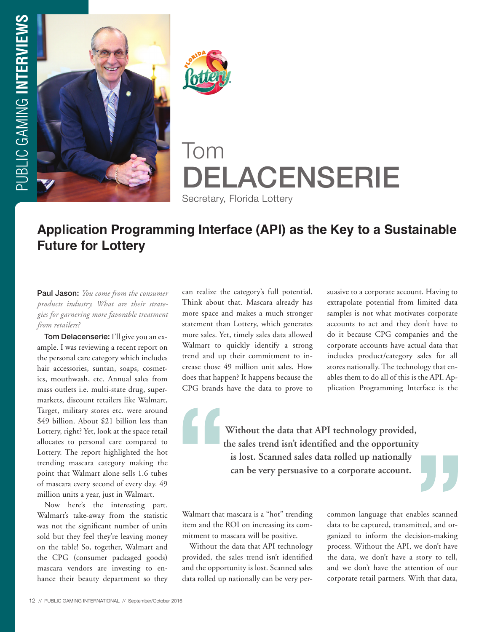



# Tom DELACENSERIE

Secretary, Florida Lottery

# **Application Programming Interface (API) as the Key to a Sustainable Future for Lottery**

Paul Jason: *You come from the consumer products industry. What are their strategies for garnering more favorable treatment from retailers?* 

Tom Delacenserie: I'll give you an example. I was reviewing a recent report on the personal care category which includes hair accessories, suntan, soaps, cosmetics, mouthwash, etc. Annual sales from mass outlets i.e. multi-state drug, supermarkets, discount retailers like Walmart, Target, military stores etc. were around \$49 billion. About \$21 billion less than Lottery, right? Yet, look at the space retail allocates to personal care compared to Lottery. The report highlighted the hot trending mascara category making the point that Walmart alone sells 1.6 tubes of mascara every second of every day. 49 million units a year, just in Walmart.

Now here's the interesting part. Walmart's take-away from the statistic was not the significant number of units sold but they feel they're leaving money on the table! So, together, Walmart and the CPG (consumer packaged goods) mascara vendors are investing to enhance their beauty department so they can realize the category's full potential. Think about that. Mascara already has more space and makes a much stronger statement than Lottery, which generates more sales. Yet, timely sales data allowed Walmart to quickly identify a strong trend and up their commitment to increase those 49 million unit sales. How does that happen? It happens because the CPG brands have the data to prove to

suasive to a corporate account. Having to extrapolate potential from limited data samples is not what motivates corporate accounts to act and they don't have to do it because CPG companies and the corporate accounts have actual data that includes product/category sales for all stores nationally. The technology that enables them to do all of this is the API. Application Programming Interface is the

**Without the data that API technology provided, the sales trend isn't identified and the opportunity is lost. Scanned sales data rolled up nationally can be very persuasive to a corporate account.**

Walmart that mascara is a "hot" trending item and the ROI on increasing its commitment to mascara will be positive.

Without the data that API technology provided, the sales trend isn't identified and the opportunity is lost. Scanned sales data rolled up nationally can be very percommon language that enables scanned data to be captured, transmitted, and organized to inform the decision-making process. Without the API, we don't have the data, we don't have a story to tell, and we don't have the attention of our corporate retail partners. With that data,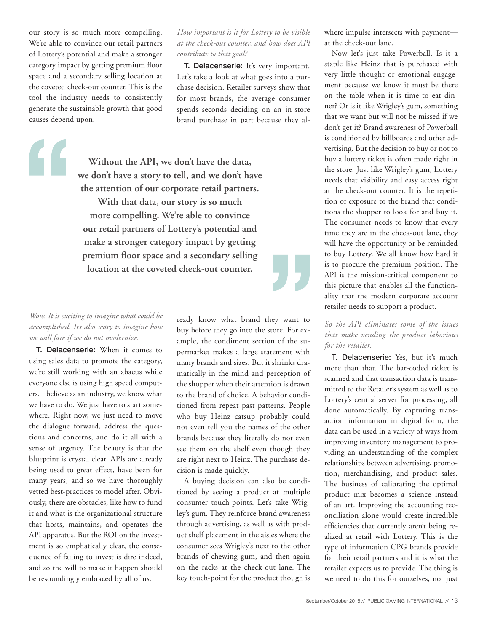our story is so much more compelling. We're able to convince our retail partners of Lottery's potential and make a stronger category impact by getting premium floor space and a secondary selling location at the coveted check-out counter. This is the tool the industry needs to consistently generate the sustainable growth that good causes depend upon.

# *How important is it for Lottery to be visible at the check-out counter, and how does API contribute to that goal?*

T. Delacenserie: It's very important. Let's take a look at what goes into a purchase decision. Retailer surveys show that for most brands, the average consumer spends seconds deciding on an in-store brand purchase in part because they al-

**Without the API, we don't have the data, we don't have a story to tell, and we don't have the attention of our corporate retail partners. With that data, our story is so much more compelling. We're able to convince our retail partners of Lottery's potential and make a stronger category impact by getting premium floor space and a secondary selling location at the coveted check-out counter.**

#### *Wow. It is exciting to imagine what could be accomplished. It's also scary to imagine how we will fare if we do not modernize.*

T. Delacenserie: When it comes to using sales data to promote the category, we're still working with an abacus while everyone else is using high speed computers. I believe as an industry, we know what we have to do. We just have to start somewhere. Right now, we just need to move the dialogue forward, address the questions and concerns, and do it all with a sense of urgency. The beauty is that the blueprint is crystal clear. APIs are already being used to great effect, have been for many years, and so we have thoroughly vetted best-practices to model after. Obviously, there are obstacles, like how to fund it and what is the organizational structure that hosts, maintains, and operates the API apparatus. But the ROI on the investment is so emphatically clear, the consequence of failing to invest is dire indeed, and so the will to make it happen should be resoundingly embraced by all of us.

ready know what brand they want to buy before they go into the store. For example, the condiment section of the supermarket makes a large statement with many brands and sizes. But it shrinks dramatically in the mind and perception of the shopper when their attention is drawn to the brand of choice. A behavior conditioned from repeat past patterns. People who buy Heinz catsup probably could not even tell you the names of the other brands because they literally do not even see them on the shelf even though they are right next to Heinz. The purchase decision is made quickly.

A buying decision can also be conditioned by seeing a product at multiple consumer touch-points. Let's take Wrigley's gum. They reinforce brand awareness through advertising, as well as with product shelf placement in the aisles where the consumer sees Wrigley's next to the other brands of chewing gum, and then again on the racks at the check-out lane. The key touch-point for the product though is

where impulse intersects with payment at the check-out lane.

Now let's just take Powerball. Is it a staple like Heinz that is purchased with very little thought or emotional engagement because we know it must be there on the table when it is time to eat dinner? Or is it like Wrigley's gum, something that we want but will not be missed if we don't get it? Brand awareness of Powerball is conditioned by billboards and other advertising. But the decision to buy or not to buy a lottery ticket is often made right in the store. Just like Wrigley's gum, Lottery needs that visibility and easy access right at the check-out counter. It is the repetition of exposure to the brand that conditions the shopper to look for and buy it. The consumer needs to know that every time they are in the check-out lane, they will have the opportunity or be reminded to buy Lottery. We all know how hard it is to procure the premium position. The API is the mission-critical component to this picture that enables all the functionality that the modern corporate account retailer needs to support a product.

# *So the API eliminates some of the issues that make vending the product laborious for the retailer.*

T. Delacenserie: Yes, but it's much more than that. The bar-coded ticket is scanned and that transaction data is transmitted to the Retailer's system as well as to Lottery's central server for processing, all done automatically. By capturing transaction information in digital form, the data can be used in a variety of ways from improving inventory management to providing an understanding of the complex relationships between advertising, promotion, merchandising, and product sales. The business of calibrating the optimal product mix becomes a science instead of an art. Improving the accounting reconciliation alone would create incredible efficiencies that currently aren't being realized at retail with Lottery. This is the type of information CPG brands provide for their retail partners and it is what the retailer expects us to provide. The thing is we need to do this for ourselves, not just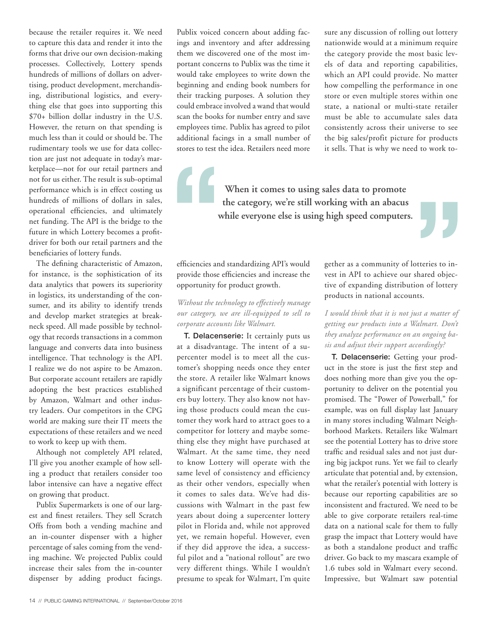because the retailer requires it. We need to capture this data and render it into the forms that drive our own decision-making processes. Collectively, Lottery spends hundreds of millions of dollars on advertising, product development, merchandising, distributional logistics, and everything else that goes into supporting this \$70+ billion dollar industry in the U.S. However, the return on that spending is much less than it could or should be. The rudimentary tools we use for data collection are just not adequate in today's marketplace—not for our retail partners and not for us either. The result is sub-optimal performance which is in effect costing us hundreds of millions of dollars in sales, operational efficiencies, and ultimately net funding. The API is the bridge to the future in which Lottery becomes a profitdriver for both our retail partners and the beneficiaries of lottery funds.

The defining characteristic of Amazon, for instance, is the sophistication of its data analytics that powers its superiority in logistics, its understanding of the consumer, and its ability to identify trends and develop market strategies at breakneck speed. All made possible by technology that records transactions in a common language and converts data into business intelligence. That technology is the API. I realize we do not aspire to be Amazon. But corporate account retailers are rapidly adopting the best practices established by Amazon, Walmart and other industry leaders. Our competitors in the CPG world are making sure their IT meets the expectations of these retailers and we need to work to keep up with them.

Although not completely API related, I'll give you another example of how selling a product that retailers consider too labor intensive can have a negative effect on growing that product.

Publix Supermarkets is one of our largest and finest retailers. They sell Scratch Offs from both a vending machine and an in-counter dispenser with a higher percentage of sales coming from the vending machine. We projected Publix could increase their sales from the in-counter dispenser by adding product facings.

Publix voiced concern about adding facings and inventory and after addressing them we discovered one of the most important concerns to Publix was the time it would take employees to write down the beginning and ending book numbers for their tracking purposes. A solution they could embrace involved a wand that would scan the books for number entry and save employees time. Publix has agreed to pilot additional facings in a small number of stores to test the idea. Retailers need more sure any discussion of rolling out lottery nationwide would at a minimum require the category provide the most basic levels of data and reporting capabilities, which an API could provide. No matter how compelling the performance in one store or even multiple stores within one state, a national or multi-state retailer must be able to accumulate sales data consistently across their universe to see the big sales/profit picture for products it sells. That is why we need to work to-

**When it comes to using sales data to promote the category, we're still working with an abacus while everyone else is using high speed computers.**

> gether as a community of lotteries to invest in API to achieve our shared objective of expanding distribution of lottery products in national accounts.

> *I would think that it is not just a matter of getting our products into a Walmart. Don't they analyze performance on an ongoing basis and adjust their support accordingly?*

> T. Delacenserie: Getting your product in the store is just the first step and does nothing more than give you the opportunity to deliver on the potential you promised. The "Power of Powerball," for example, was on full display last January in many stores including Walmart Neighborhood Markets. Retailers like Walmart see the potential Lottery has to drive store traffic and residual sales and not just during big jackpot runs. Yet we fail to clearly articulate that potential and, by extension, what the retailer's potential with lottery is because our reporting capabilities are so inconsistent and fractured. We need to be able to give corporate retailers real-time data on a national scale for them to fully grasp the impact that Lottery would have as both a standalone product and traffic driver. Go back to my mascara example of 1.6 tubes sold in Walmart every second. Impressive, but Walmart saw potential

efficiencies and standardizing API's would provide those efficiencies and increase the opportunity for product growth.

#### *Without the technology to effectively manage our category, we are ill-equipped to sell to corporate accounts like Walmart.*

T. Delacenserie: It certainly puts us at a disadvantage. The intent of a supercenter model is to meet all the customer's shopping needs once they enter the store. A retailer like Walmart knows a significant percentage of their customers buy lottery. They also know not having those products could mean the customer they work hard to attract goes to a competitor for lottery and maybe something else they might have purchased at Walmart. At the same time, they need to know Lottery will operate with the same level of consistency and efficiency as their other vendors, especially when it comes to sales data. We've had discussions with Walmart in the past few years about doing a supercenter lottery pilot in Florida and, while not approved yet, we remain hopeful. However, even if they did approve the idea, a successful pilot and a "national rollout" are two very different things. While I wouldn't presume to speak for Walmart, I'm quite